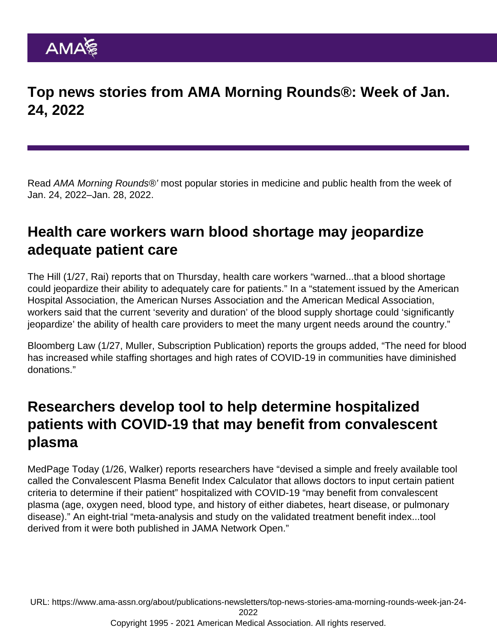Top news stories from AMA Morning Rounds®: Week of Jan. 24, 2022

Read AMA Morning Rounds®' most popular stories in medicine and public health from the week of Jan. 24, 2022–Jan. 28, 2022.

### Health care workers warn blood shortage may jeopardize adequate patient care

[The Hill](https://thehill.com/policy/healthcare/public-global-health/591631-doctors-nurses-hospitals-warn-blood-shortage-could) (1/27, Rai) reports that on Thursday, health care workers "warned...that a blood shortage could jeopardize their ability to adequately care for patients." In a "statement issued by the American Hospital Association, the American Nurses Association and the American Medical Association, workers said that the current 'severity and duration' of the blood supply shortage could 'significantly jeopardize' the ability of health care providers to meet the many urgent needs around the country."

[Bloomberg Law](https://news.bloomberglaw.com/health-law-and-business/u-s-hospitals-facing-blood-shortages-plead-for-donations) (1/27, Muller, Subscription Publication) reports the groups added, "The need for blood has increased while staffing shortages and high rates of COVID-19 in communities have diminished donations."

#### Researchers develop tool to help determine hospitalized patients with COVID-19 that may benefit from convalescent plasma

[MedPage Today](https://www.medpagetoday.com/infectiousdisease/covid19/96883) (1/26, Walker) reports researchers have "devised a simple and freely available tool called the Convalescent Plasma Benefit Index Calculator that allows doctors to input certain patient criteria to determine if their patient" hospitalized with COVID-19 "may benefit from convalescent plasma (age, oxygen need, blood type, and history of either diabetes, heart disease, or pulmonary disease)." An eight-trial "[meta-analysis](https://jamanetwork.com/journals/jamanetworkopen/fullarticle/2788377) and [study](https://jamanetwork.com/journals/jamanetworkopen/fullarticle/2788376) on the validated treatment benefit index...tool derived from it were both published in JAMA Network Open."

URL: [https://www.ama-assn.org/about/publications-newsletters/top-news-stories-ama-morning-rounds-week-jan-24-](https://www.ama-assn.org/about/publications-newsletters/top-news-stories-ama-morning-rounds-week-jan-24-2022)

[2022](https://www.ama-assn.org/about/publications-newsletters/top-news-stories-ama-morning-rounds-week-jan-24-2022)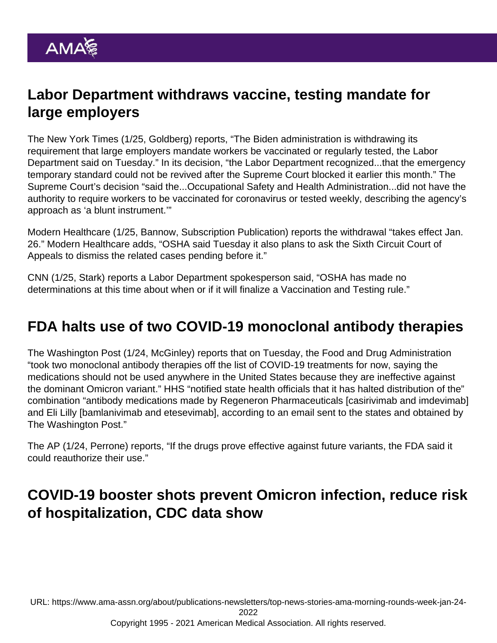# Labor Department withdraws vaccine, testing mandate for large employers

The [New York Times](https://www.nytimes.com/2022/01/25/business/osha-vaccine-mandate.html) (1/25, Goldberg) reports, "The Biden administration is withdrawing its requirement that large employers mandate workers be vaccinated or regularly tested, the Labor Department said on Tuesday." In its decision, "the Labor Department recognized...that the emergency temporary standard could not be revived after the Supreme Court blocked it earlier this month." The Supreme Court's decision "said the...Occupational Safety and Health Administration...did not have the authority to require workers to be vaccinated for coronavirus or tested weekly, describing the agency's approach as 'a blunt instrument.'"

[Modern Healthcare](https://www.modernhealthcare.com/policy/osha-withdraws-emergency-enforcement-covid-vaccine-mandate) (1/25, Bannow, Subscription Publication) reports the withdrawal "takes effect Jan. 26." Modern Healthcare adds, "OSHA said Tuesday it also plans to ask the Sixth Circuit Court of Appeals to dismiss the related cases pending before it."

[CNN](https://www.cnn.com/2022/01/25/politics/vaccine-mandate-osha-withdrawn/index.html) (1/25, Stark) reports a Labor Department spokesperson said, "OSHA has made no determinations at this time about when or if it will finalize a Vaccination and Testing rule."

## FDA halts use of two COVID-19 monoclonal antibody therapies

The [Washington Post](https://www.washingtonpost.com/health/2022/01/24/biden-administration-monoclonal-antibodies/) (1/24, McGinley) reports that on Tuesday, the Food and Drug Administration "took two monoclonal antibody therapies off the list of COVID-19 treatments for now, saying the medications should not be used anywhere in the United States because they are ineffective against the dominant Omicron variant." HHS "notified state health officials that it has halted distribution of the" combination "antibody medications made by Regeneron Pharmaceuticals [casirivimab and imdevimab] and Eli Lilly [bamlanivimab and etesevimab], according to an email sent to the states and obtained by The Washington Post."

The [AP](https://apnews.com/article/coronavirus-pandemic-science-business-health-f8cbfdb48f6c78aea16930b45af4e024) (1/24, Perrone) reports, "If the drugs prove effective against future variants, the FDA said it could reauthorize their use."

# COVID-19 booster shots prevent Omicron infection, reduce risk of hospitalization, CDC data show

URL: [https://www.ama-assn.org/about/publications-newsletters/top-news-stories-ama-morning-rounds-week-jan-24-](https://www.ama-assn.org/about/publications-newsletters/top-news-stories-ama-morning-rounds-week-jan-24-2022)

[2022](https://www.ama-assn.org/about/publications-newsletters/top-news-stories-ama-morning-rounds-week-jan-24-2022)